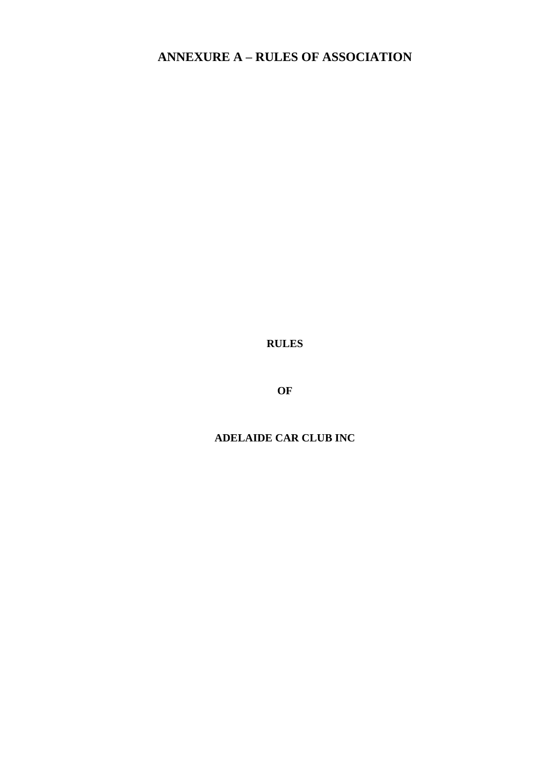# **ANNEXURE A – RULES OF ASSOCIATION**

**RULES**

**OF** 

## **ADELAIDE CAR CLUB INC**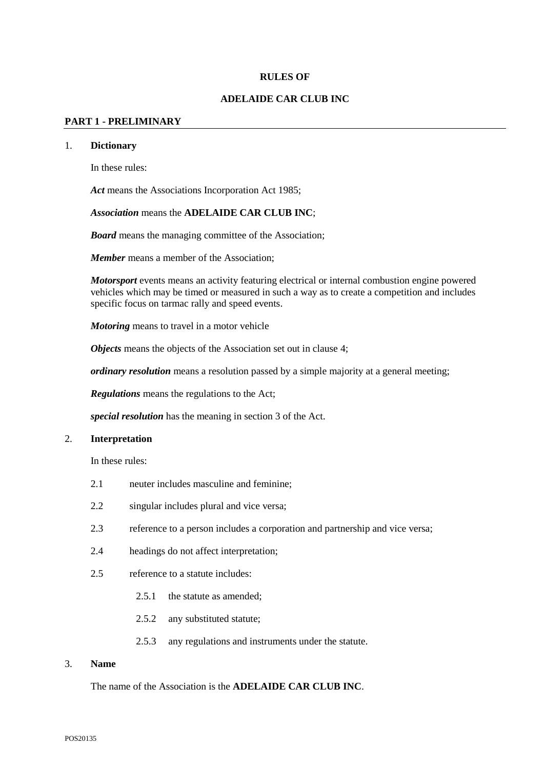#### **RULES OF**

#### **ADELAIDE CAR CLUB INC**

#### **PART 1 - PRELIMINARY**

## 1. **Dictionary**

In these rules:

*Act* means the Associations Incorporation Act 1985;

#### *Association* means the **ADELAIDE CAR CLUB INC**;

*Board* means the managing committee of the Association;

*Member* means a member of the Association;

*Motorsport* events means an activity featuring electrical or internal combustion engine powered vehicles which may be timed or measured in such a way as to create a competition and includes specific focus on tarmac rally and speed events.

*Motoring* means to travel in a motor vehicle

*Objects* means the objects of the Association set out in clause [4;](#page-2-0)

*ordinary resolution* means a resolution passed by a simple majority at a general meeting;

*Regulations* means the regulations to the Act;

*special resolution* has the meaning in section 3 of the Act.

## 2. **Interpretation**

In these rules:

- 2.1 neuter includes masculine and feminine;
- 2.2 singular includes plural and vice versa;
- 2.3 reference to a person includes a corporation and partnership and vice versa;
- 2.4 headings do not affect interpretation;
- 2.5 reference to a statute includes:
	- 2.5.1 the statute as amended;
	- 2.5.2 any substituted statute;
	- 2.5.3 any regulations and instruments under the statute.

#### 3. **Name**

The name of the Association is the **ADELAIDE CAR CLUB INC**.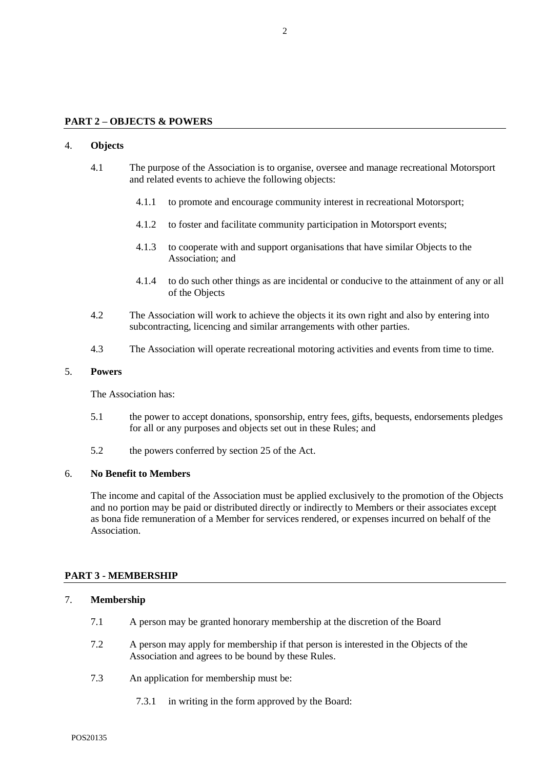#### **PART 2 – OBJECTS & POWERS**

#### <span id="page-2-0"></span>4. **Objects**

- 4.1 The purpose of the Association is to organise, oversee and manage recreational Motorsport and related events to achieve the following objects:
	- 4.1.1 to promote and encourage community interest in recreational Motorsport;
	- 4.1.2 to foster and facilitate community participation in Motorsport events;
	- 4.1.3 to cooperate with and support organisations that have similar Objects to the Association; and
	- 4.1.4 to do such other things as are incidental or conducive to the attainment of any or all of the Objects
- 4.2 The Association will work to achieve the objects it its own right and also by entering into subcontracting, licencing and similar arrangements with other parties.
- 4.3 The Association will operate recreational motoring activities and events from time to time.

#### 5. **Powers**

The Association has:

- 5.1 the power to accept donations, sponsorship, entry fees, gifts, bequests, endorsements pledges for all or any purposes and objects set out in these Rules; and
- 5.2 the powers conferred by section 25 of the Act.

#### 6. **No Benefit to Members**

The income and capital of the Association must be applied exclusively to the promotion of the Objects and no portion may be paid or distributed directly or indirectly to Members or their associates except as bona fide remuneration of a Member for services rendered, or expenses incurred on behalf of the Association.

#### **PART 3 - MEMBERSHIP**

#### 7. **Membership**

- 7.1 A person may be granted honorary membership at the discretion of the Board
- 7.2 A person may apply for membership if that person is interested in the Objects of the Association and agrees to be bound by these Rules.
- 7.3 An application for membership must be:
	- 7.3.1 in writing in the form approved by the Board: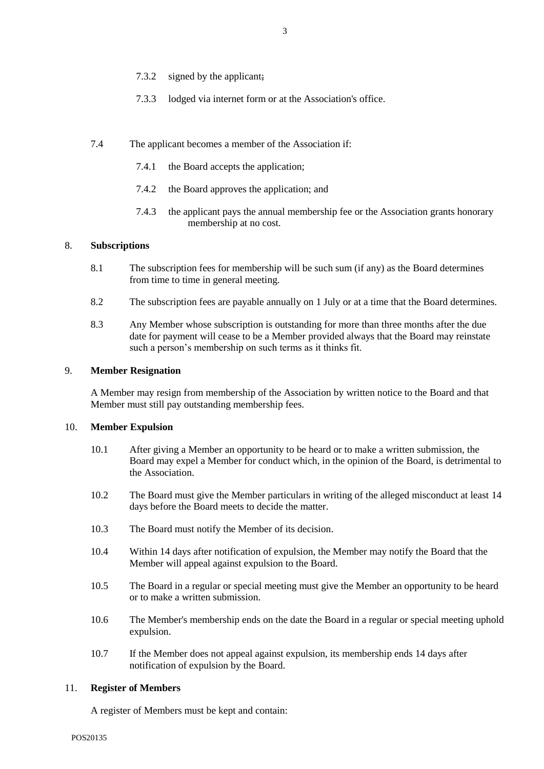- 7.3.2 signed by the applicant;
- 7.3.3 lodged via internet form or at the Association's office.
- 7.4 The applicant becomes a member of the Association if:
	- 7.4.1 the Board accepts the application;
	- 7.4.2 the Board approves the application; and
	- 7.4.3 the applicant pays the annual membership fee or the Association grants honorary membership at no cost*.*

## 8. **Subscriptions**

- 8.1 The subscription fees for membership will be such sum (if any) as the Board determines from time to time in general meeting.
- 8.2 The subscription fees are payable annually on 1 July or at a time that the Board determines.
- 8.3 Any Member whose subscription is outstanding for more than three months after the due date for payment will cease to be a Member provided always that the Board may reinstate such a person's membership on such terms as it thinks fit.

## 9. **Member Resignation**

A Member may resign from membership of the Association by written notice to the Board and that Member must still pay outstanding membership fees.

## 10. **Member Expulsion**

- 10.1 After giving a Member an opportunity to be heard or to make a written submission, the Board may expel a Member for conduct which, in the opinion of the Board, is detrimental to the Association.
- 10.2 The Board must give the Member particulars in writing of the alleged misconduct at least 14 days before the Board meets to decide the matter.
- 10.3 The Board must notify the Member of its decision.
- 10.4 Within 14 days after notification of expulsion, the Member may notify the Board that the Member will appeal against expulsion to the Board.
- 10.5 The Board in a regular or special meeting must give the Member an opportunity to be heard or to make a written submission.
- 10.6 The Member's membership ends on the date the Board in a regular or special meeting uphold expulsion.
- 10.7 If the Member does not appeal against expulsion, its membership ends 14 days after notification of expulsion by the Board.

## 11. **Register of Members**

A register of Members must be kept and contain: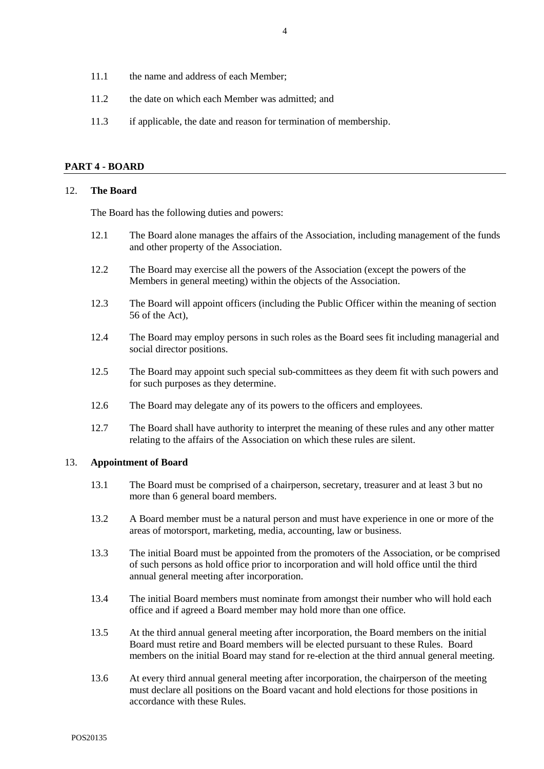- 11.1 the name and address of each Member;
- 11.2 the date on which each Member was admitted; and
- 11.3 if applicable, the date and reason for termination of membership.

## **PART 4 - BOARD**

## 12. **The Board**

The Board has the following duties and powers:

- 12.1 The Board alone manages the affairs of the Association, including management of the funds and other property of the Association.
- 12.2 The Board may exercise all the powers of the Association (except the powers of the Members in general meeting) within the objects of the Association.
- 12.3 The Board will appoint officers (including the Public Officer within the meaning of section 56 of the Act),
- 12.4 The Board may employ persons in such roles as the Board sees fit including managerial and social director positions.
- 12.5 The Board may appoint such special sub-committees as they deem fit with such powers and for such purposes as they determine.
- 12.6 The Board may delegate any of its powers to the officers and employees.
- 12.7 The Board shall have authority to interpret the meaning of these rules and any other matter relating to the affairs of the Association on which these rules are silent.

## 13. **Appointment of Board**

- 13.1 The Board must be comprised of a chairperson, secretary, treasurer and at least 3 but no more than 6 general board members.
- 13.2 A Board member must be a natural person and must have experience in one or more of the areas of motorsport, marketing, media, accounting, law or business.
- 13.3 The initial Board must be appointed from the promoters of the Association, or be comprised of such persons as hold office prior to incorporation and will hold office until the third annual general meeting after incorporation.
- 13.4 The initial Board members must nominate from amongst their number who will hold each office and if agreed a Board member may hold more than one office.
- 13.5 At the third annual general meeting after incorporation, the Board members on the initial Board must retire and Board members will be elected pursuant to these Rules. Board members on the initial Board may stand for re-election at the third annual general meeting.
- 13.6 At every third annual general meeting after incorporation, the chairperson of the meeting must declare all positions on the Board vacant and hold elections for those positions in accordance with these Rules.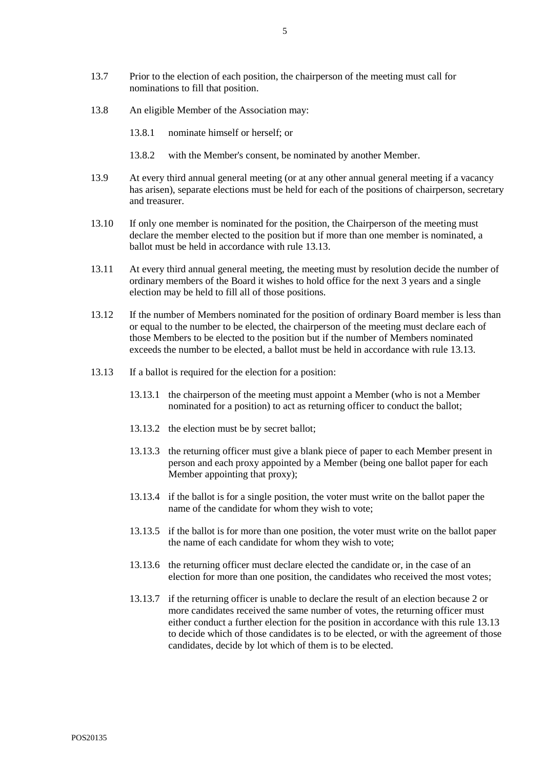- 13.8 An eligible Member of the Association may:
	- 13.8.1 nominate himself or herself; or
	- 13.8.2 with the Member's consent, be nominated by another Member.
- 13.9 At every third annual general meeting (or at any other annual general meeting if a vacancy has arisen), separate elections must be held for each of the positions of chairperson, secretary and treasurer.
- 13.10 If only one member is nominated for the position, the Chairperson of the meeting must declare the member elected to the position but if more than one member is nominated, a ballot must be held in accordance with rule 13.13.
- 13.11 At every third annual general meeting, the meeting must by resolution decide the number of ordinary members of the Board it wishes to hold office for the next 3 years and a single election may be held to fill all of those positions.
- 13.12 If the number of Members nominated for the position of ordinary Board member is less than or equal to the number to be elected, the chairperson of the meeting must declare each of those Members to be elected to the position but if the number of Members nominated exceeds the number to be elected, a ballot must be held in accordance with rule 13.13.
- 13.13 If a ballot is required for the election for a position:
	- 13.13.1 the chairperson of the meeting must appoint a Member (who is not a Member nominated for a position) to act as returning officer to conduct the ballot;
	- 13.13.2 the election must be by secret ballot;
	- 13.13.3 the returning officer must give a blank piece of paper to each Member present in person and each proxy appointed by a Member (being one ballot paper for each Member appointing that proxy);
	- 13.13.4 if the ballot is for a single position, the voter must write on the ballot paper the name of the candidate for whom they wish to vote;
	- 13.13.5 if the ballot is for more than one position, the voter must write on the ballot paper the name of each candidate for whom they wish to vote;
	- 13.13.6 the returning officer must declare elected the candidate or, in the case of an election for more than one position, the candidates who received the most votes;
	- 13.13.7 if the returning officer is unable to declare the result of an election because 2 or more candidates received the same number of votes, the returning officer must either conduct a further election for the position in accordance with this rule 13.13 to decide which of those candidates is to be elected, or with the agreement of those candidates, decide by lot which of them is to be elected.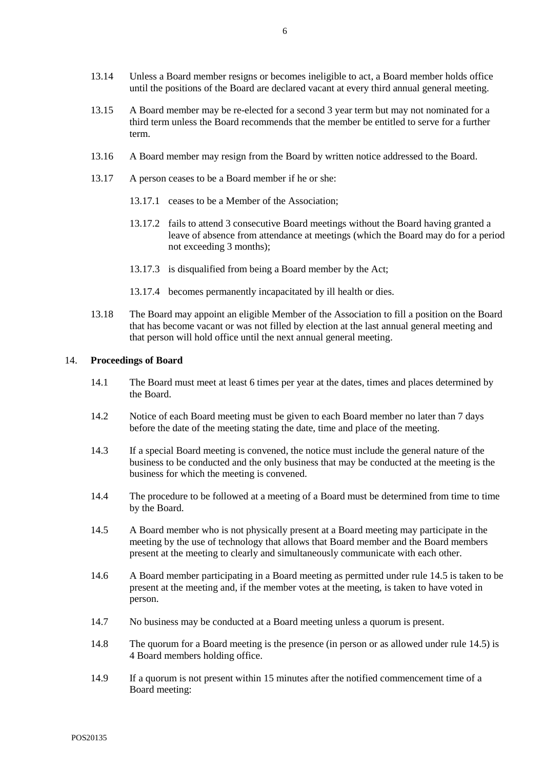- 13.14 Unless a Board member resigns or becomes ineligible to act, a Board member holds office until the positions of the Board are declared vacant at every third annual general meeting.
- 13.15 A Board member may be re-elected for a second 3 year term but may not nominated for a third term unless the Board recommends that the member be entitled to serve for a further term.
- 13.16 A Board member may resign from the Board by written notice addressed to the Board.
- 13.17 A person ceases to be a Board member if he or she:
	- 13.17.1 ceases to be a Member of the Association;
	- 13.17.2 fails to attend 3 consecutive Board meetings without the Board having granted a leave of absence from attendance at meetings (which the Board may do for a period not exceeding 3 months);
	- 13.17.3 is disqualified from being a Board member by the Act;
	- 13.17.4 becomes permanently incapacitated by ill health or dies.
- 13.18 The Board may appoint an eligible Member of the Association to fill a position on the Board that has become vacant or was not filled by election at the last annual general meeting and that person will hold office until the next annual general meeting.

#### 14. **Proceedings of Board**

- 14.1 The Board must meet at least 6 times per year at the dates, times and places determined by the Board.
- 14.2 Notice of each Board meeting must be given to each Board member no later than 7 days before the date of the meeting stating the date, time and place of the meeting.
- 14.3 If a special Board meeting is convened, the notice must include the general nature of the business to be conducted and the only business that may be conducted at the meeting is the business for which the meeting is convened.
- 14.4 The procedure to be followed at a meeting of a Board must be determined from time to time by the Board.
- <span id="page-6-0"></span>14.5 A Board member who is not physically present at a Board meeting may participate in the meeting by the use of technology that allows that Board member and the Board members present at the meeting to clearly and simultaneously communicate with each other.
- 14.6 A Board member participating in a Board meeting as permitted under rule [14.5](#page-6-0) is taken to be present at the meeting and, if the member votes at the meeting, is taken to have voted in person.
- 14.7 No business may be conducted at a Board meeting unless a quorum is present.
- 14.8 The quorum for a Board meeting is the presence (in person or as allowed under rule [14.5\)](#page-6-0) is 4 Board members holding office.
- 14.9 If a quorum is not present within 15 minutes after the notified commencement time of a Board meeting: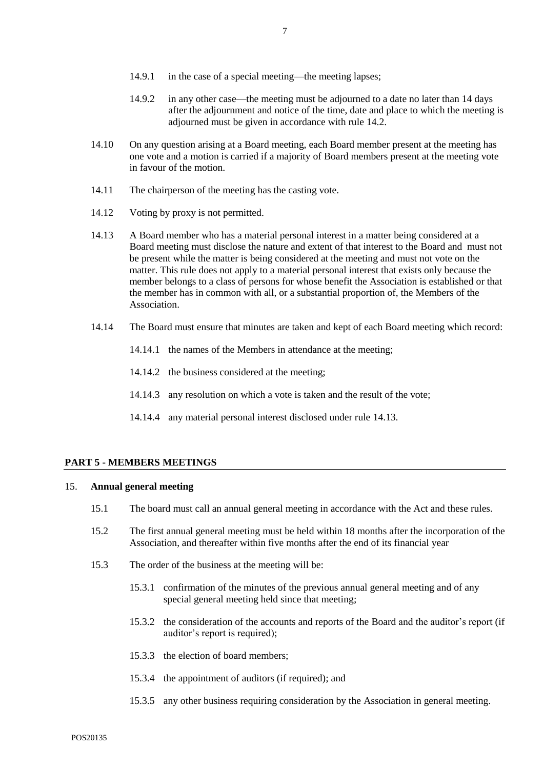- 14.9.2 in any other case—the meeting must be adjourned to a date no later than 14 days after the adjournment and notice of the time, date and place to which the meeting is adjourned must be given in accordance with rule 14.2.
- 14.10 On any question arising at a Board meeting, each Board member present at the meeting has one vote and a motion is carried if a majority of Board members present at the meeting vote in favour of the motion.
- 14.11 The chairperson of the meeting has the casting vote.
- 14.12 Voting by proxy is not permitted.
- 14.13 A Board member who has a material personal interest in a matter being considered at a Board meeting must disclose the nature and extent of that interest to the Board and must not be present while the matter is being considered at the meeting and must not vote on the matter. This rule does not apply to a material personal interest that exists only because the member belongs to a class of persons for whose benefit the Association is established or that the member has in common with all, or a substantial proportion of, the Members of the Association.
- 14.14 The Board must ensure that minutes are taken and kept of each Board meeting which record:
	- 14.14.1 the names of the Members in attendance at the meeting:
	- 14.14.2 the business considered at the meeting;
	- 14.14.3 any resolution on which a vote is taken and the result of the vote;
	- 14.14.4 any material personal interest disclosed under rule 14.13.

## **PART 5 - MEMBERS MEETINGS**

#### 15. **Annual general meeting**

- 15.1 The board must call an annual general meeting in accordance with the Act and these rules.
- 15.2 The first annual general meeting must be held within 18 months after the incorporation of the Association, and thereafter within five months after the end of its financial year
- 15.3 The order of the business at the meeting will be:
	- 15.3.1 confirmation of the minutes of the previous annual general meeting and of any special general meeting held since that meeting;
	- 15.3.2 the consideration of the accounts and reports of the Board and the auditor's report (if auditor's report is required);
	- 15.3.3 the election of board members;
	- 15.3.4 the appointment of auditors (if required); and
	- 15.3.5 any other business requiring consideration by the Association in general meeting.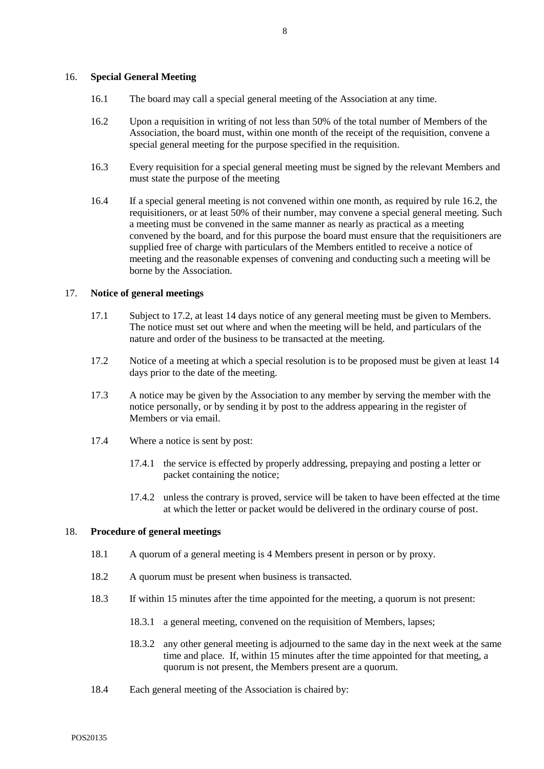#### 16. **Special General Meeting**

- 16.1 The board may call a special general meeting of the Association at any time.
- 16.2 Upon a requisition in writing of not less than 50% of the total number of Members of the Association, the board must, within one month of the receipt of the requisition, convene a special general meeting for the purpose specified in the requisition.
- 16.3 Every requisition for a special general meeting must be signed by the relevant Members and must state the purpose of the meeting
- 16.4 If a special general meeting is not convened within one month, as required by rule 16.2, the requisitioners, or at least 50% of their number, may convene a special general meeting. Such a meeting must be convened in the same manner as nearly as practical as a meeting convened by the board, and for this purpose the board must ensure that the requisitioners are supplied free of charge with particulars of the Members entitled to receive a notice of meeting and the reasonable expenses of convening and conducting such a meeting will be borne by the Association.

#### 17. **Notice of general meetings**

- 17.1 Subject to 17.2, at least 14 days notice of any general meeting must be given to Members. The notice must set out where and when the meeting will be held, and particulars of the nature and order of the business to be transacted at the meeting.
- 17.2 Notice of a meeting at which a special resolution is to be proposed must be given at least 14 days prior to the date of the meeting.
- 17.3 A notice may be given by the Association to any member by serving the member with the notice personally, or by sending it by post to the address appearing in the register of Members or via email.
- 17.4 Where a notice is sent by post:
	- 17.4.1 the service is effected by properly addressing, prepaying and posting a letter or packet containing the notice;
	- 17.4.2 unless the contrary is proved, service will be taken to have been effected at the time at which the letter or packet would be delivered in the ordinary course of post.

## 18. **Procedure of general meetings**

- 18.1 A quorum of a general meeting is 4 Members present in person or by proxy.
- 18.2 A quorum must be present when business is transacted.
- 18.3 If within 15 minutes after the time appointed for the meeting, a quorum is not present:
	- 18.3.1 a general meeting, convened on the requisition of Members, lapses;
	- 18.3.2 any other general meeting is adjourned to the same day in the next week at the same time and place. If, within 15 minutes after the time appointed for that meeting, a quorum is not present, the Members present are a quorum.
- 18.4 Each general meeting of the Association is chaired by: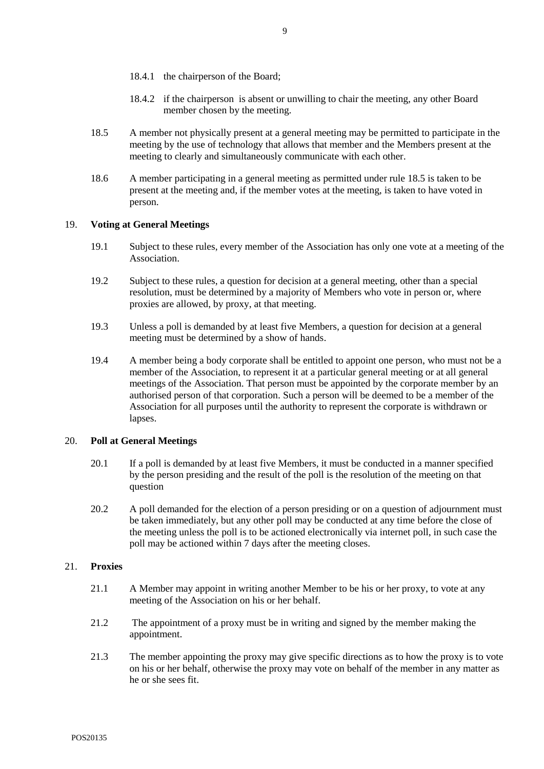- 18.4.1 the chairperson of the Board;
- 18.4.2 if the chairperson is absent or unwilling to chair the meeting, any other Board member chosen by the meeting.
- 18.5 A member not physically present at a general meeting may be permitted to participate in the meeting by the use of technology that allows that member and the Members present at the meeting to clearly and simultaneously communicate with each other.
- 18.6 A member participating in a general meeting as permitted under rule 18.5 is taken to be present at the meeting and, if the member votes at the meeting, is taken to have voted in person.

## 19. **Voting at General Meetings**

- 19.1 Subject to these rules, every member of the Association has only one vote at a meeting of the Association.
- 19.2 Subject to these rules, a question for decision at a general meeting, other than a special resolution, must be determined by a majority of Members who vote in person or, where proxies are allowed, by proxy, at that meeting.
- 19.3 Unless a poll is demanded by at least five Members, a question for decision at a general meeting must be determined by a show of hands.
- 19.4 A member being a body corporate shall be entitled to appoint one person, who must not be a member of the Association, to represent it at a particular general meeting or at all general meetings of the Association. That person must be appointed by the corporate member by an authorised person of that corporation. Such a person will be deemed to be a member of the Association for all purposes until the authority to represent the corporate is withdrawn or lapses.

#### 20. **Poll at General Meetings**

- 20.1 If a poll is demanded by at least five Members, it must be conducted in a manner specified by the person presiding and the result of the poll is the resolution of the meeting on that question
- 20.2 A poll demanded for the election of a person presiding or on a question of adjournment must be taken immediately, but any other poll may be conducted at any time before the close of the meeting unless the poll is to be actioned electronically via internet poll, in such case the poll may be actioned within 7 days after the meeting closes.

## 21. **Proxies**

- 21.1 A Member may appoint in writing another Member to be his or her proxy, to vote at any meeting of the Association on his or her behalf.
- 21.2 The appointment of a proxy must be in writing and signed by the member making the appointment.
- 21.3 The member appointing the proxy may give specific directions as to how the proxy is to vote on his or her behalf, otherwise the proxy may vote on behalf of the member in any matter as he or she sees fit.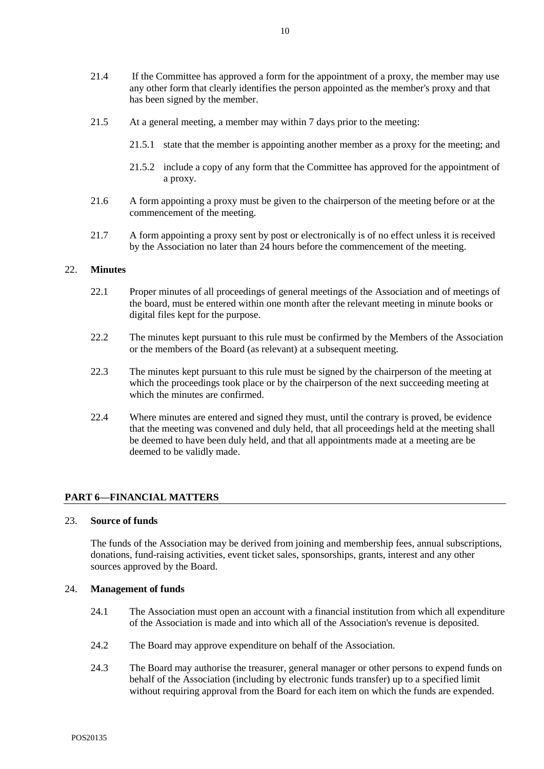- 21.4 If the Committee has approved a form for the appointment of a proxy, the member may use any other form that clearly identifies the person appointed as the member's proxy and that has been signed by the member.
- 21.5 At a general meeting, a member may within 7 days prior to the meeting:
	- 21.5.1 state that the member is appointing another member as a proxy for the meeting; and
	- 21.5.2 include a copy of any form that the Committee has approved for the appointment of a proxy.
- 21.6 A form appointing a proxy must be given to the chairperson of the meeting before or at the commencement of the meeting.
- 21.7 A form appointing a proxy sent by post or electronically is of no effect unless it is received by the Association no later than 24 hours before the commencement of the meeting.

#### 22. **Minutes**

- 22.1 Proper minutes of all proceedings of general meetings of the Association and of meetings of the board, must be entered within one month after the relevant meeting in minute books or digital files kept for the purpose.
- 22.2 The minutes kept pursuant to this rule must be confirmed by the Members of the Association or the members of the Board (as relevant) at a subsequent meeting.
- 22.3 The minutes kept pursuant to this rule must be signed by the chairperson of the meeting at which the proceedings took place or by the chairperson of the next succeeding meeting at which the minutes are confirmed.
- 22.4 Where minutes are entered and signed they must, until the contrary is proved, be evidence that the meeting was convened and duly held, that all proceedings held at the meeting shall be deemed to have been duly held, and that all appointments made at a meeting are be deemed to be validly made.

## **PART 6—FINANCIAL MATTERS**

## 23. **Source of funds**

The funds of the Association may be derived from joining and membership fees, annual subscriptions, donations, fund-raising activities, event ticket sales, sponsorships, grants, interest and any other sources approved by the Board.

#### 24. **Management of funds**

- 24.1 The Association must open an account with a financial institution from which all expenditure of the Association is made and into which all of the Association's revenue is deposited.
- 24.2 The Board may approve expenditure on behalf of the Association.
- 24.3 The Board may authorise the treasurer, general manager or other persons to expend funds on behalf of the Association (including by electronic funds transfer) up to a specified limit without requiring approval from the Board for each item on which the funds are expended.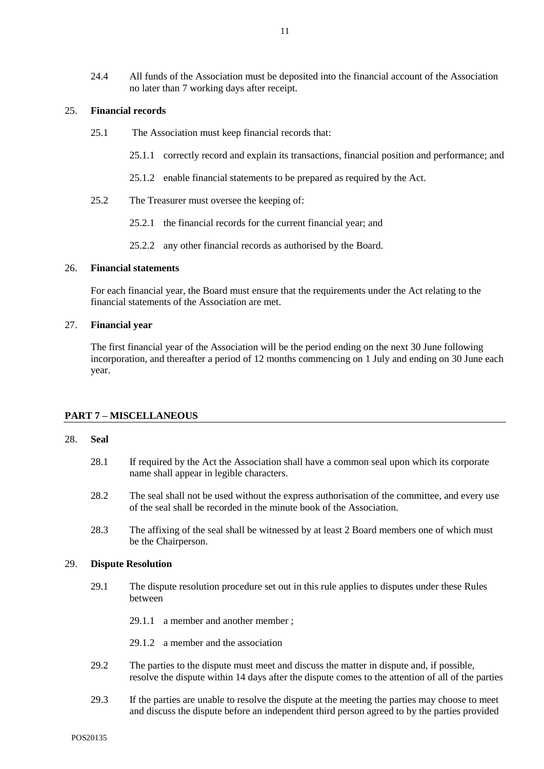24.4 All funds of the Association must be deposited into the financial account of the Association no later than 7 working days after receipt.

#### 25. **Financial records**

- 25.1 The Association must keep financial records that:
	- 25.1.1 correctly record and explain its transactions, financial position and performance; and
	- 25.1.2 enable financial statements to be prepared as required by the Act.
- 25.2 The Treasurer must oversee the keeping of:
	- 25.2.1 the financial records for the current financial year; and
	- 25.2.2 any other financial records as authorised by the Board.

#### 26. **Financial statements**

For each financial year, the Board must ensure that the requirements under the Act relating to the financial statements of the Association are met.

## 27. **Financial year**

The first financial year of the Association will be the period ending on the next 30 June following incorporation, and thereafter a period of 12 months commencing on 1 July and ending on 30 June each year.

## **PART 7 – MISCELLANEOUS**

#### 28. **Seal**

- 28.1 If required by the Act the Association shall have a common seal upon which its corporate name shall appear in legible characters.
- 28.2 The seal shall not be used without the express authorisation of the committee, and every use of the seal shall be recorded in the minute book of the Association.
- 28.3 The affixing of the seal shall be witnessed by at least 2 Board members one of which must be the Chairperson.

## 29. **Dispute Resolution**

- 29.1 The dispute resolution procedure set out in this rule applies to disputes under these Rules between
	- 29.1.1 a member and another member ;

29.1.2 a member and the association

- 29.2 The parties to the dispute must meet and discuss the matter in dispute and, if possible, resolve the dispute within 14 days after the dispute comes to the attention of all of the parties
- 29.3 If the parties are unable to resolve the dispute at the meeting the parties may choose to meet and discuss the dispute before an independent third person agreed to by the parties provided